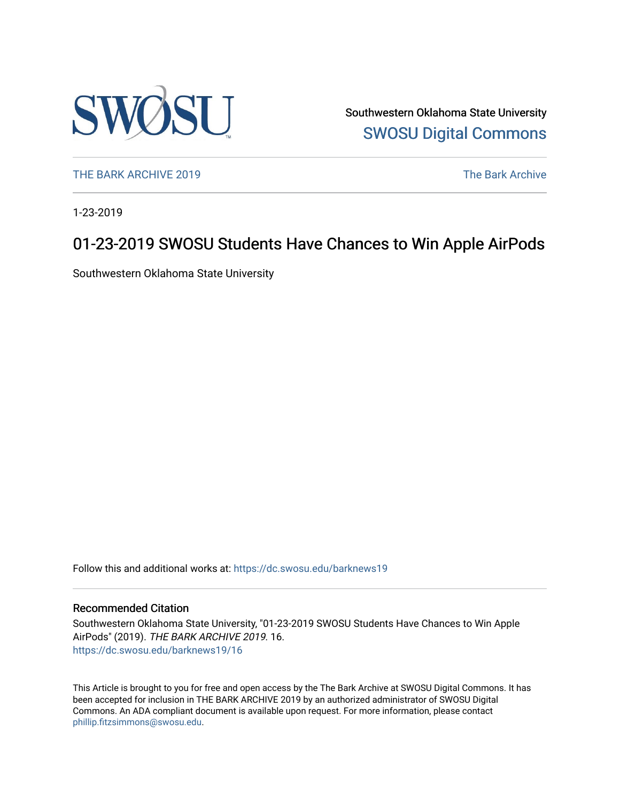

Southwestern Oklahoma State University [SWOSU Digital Commons](https://dc.swosu.edu/) 

[THE BARK ARCHIVE 2019](https://dc.swosu.edu/barknews19) The Bark Archive

1-23-2019

# 01-23-2019 SWOSU Students Have Chances to Win Apple AirPods

Southwestern Oklahoma State University

Follow this and additional works at: [https://dc.swosu.edu/barknews19](https://dc.swosu.edu/barknews19?utm_source=dc.swosu.edu%2Fbarknews19%2F16&utm_medium=PDF&utm_campaign=PDFCoverPages)

#### Recommended Citation

Southwestern Oklahoma State University, "01-23-2019 SWOSU Students Have Chances to Win Apple AirPods" (2019). THE BARK ARCHIVE 2019. 16. [https://dc.swosu.edu/barknews19/16](https://dc.swosu.edu/barknews19/16?utm_source=dc.swosu.edu%2Fbarknews19%2F16&utm_medium=PDF&utm_campaign=PDFCoverPages) 

This Article is brought to you for free and open access by the The Bark Archive at SWOSU Digital Commons. It has been accepted for inclusion in THE BARK ARCHIVE 2019 by an authorized administrator of SWOSU Digital Commons. An ADA compliant document is available upon request. For more information, please contact [phillip.fitzsimmons@swosu.edu](mailto:phillip.fitzsimmons@swosu.edu).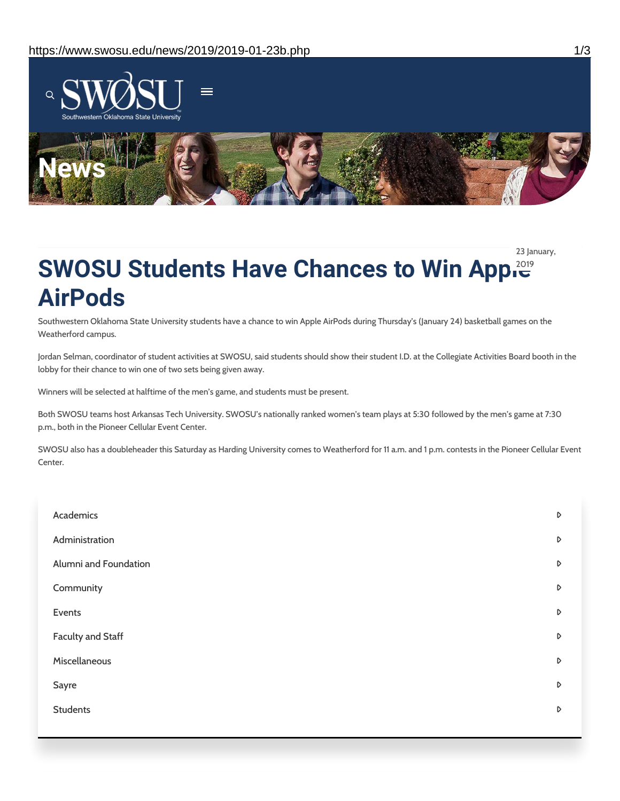

23 January,

# **SWOSU Students Have Chances to Win Appler AirPods**

Southwestern Oklahoma State University students have a chance to win Apple AirPods during Thursday's (January 24) basketball games on the Weatherford campus.

Jordan Selman, coordinator of student activities at SWOSU, said students should show their student I.D. at the Collegiate Activities Board booth in the lobby for their chance to win one of two sets being given away.

Winners will be selected at halftime of the men's game, and students must be present.

Both SWOSU teams host Arkansas Tech University. SWOSU's nationally ranked women's team plays at 5:30 followed by the men's game at 7:30 p.m., both in the Pioneer Cellular Event Center.

SWOSU also has a doubleheader this Saturday as Harding University comes to Weatherford for 11 a.m. and 1 p.m. contests in the Pioneer Cellular Event Center.

| Academics                | D                |
|--------------------------|------------------|
| Administration           | $\triangleright$ |
| Alumni and Foundation    | $\triangleright$ |
| Community                | $\triangleright$ |
| Events                   | D                |
| <b>Faculty and Staff</b> | $\triangleright$ |
| Miscellaneous            | $\triangleright$ |
| Sayre                    | $\triangleright$ |
| <b>Students</b>          | $\triangleright$ |
|                          |                  |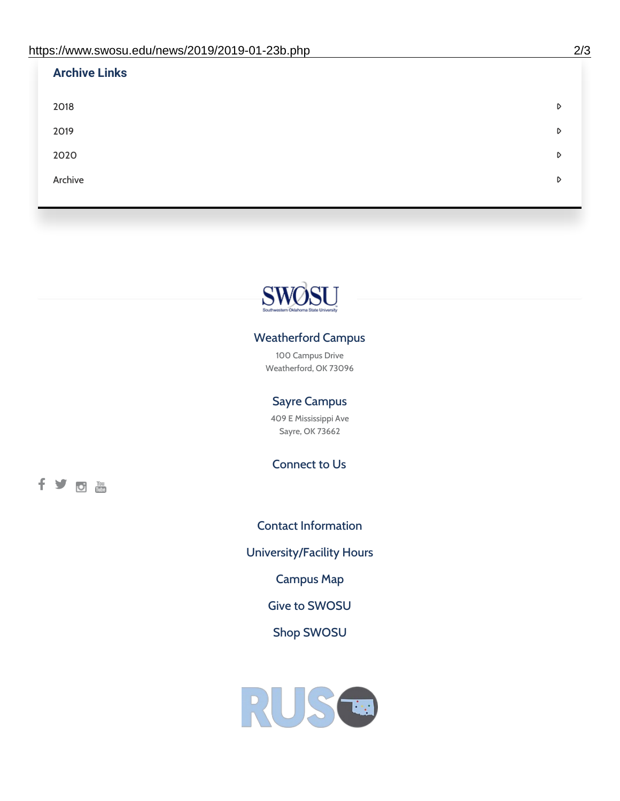| <b>Archive Links</b> |   |
|----------------------|---|
| 2018                 | D |
| 2019                 | D |
| 2020                 | D |
| Archive              | D |
|                      |   |



## Weatherford Campus

100 Campus Drive Weatherford, OK 73096

### Sayre Campus

409 E Mississippi Ave Sayre, OK 73662

Connect to Us

fyoth

Contact [Information](https://www.swosu.edu/about/contact.php) [University/Facility](https://www.swosu.edu/about/operating-hours.php) Hours [Campus](https://map.concept3d.com/?id=768#!ct/10964,10214,10213,10212,10205,10204,10203,10202,10136,10129,10128,0,31226,10130,10201,10641,0) Map Give to [SWOSU](https://standingfirmly.com/donate) Shop [SWOSU](https://shopswosu.merchorders.com/)